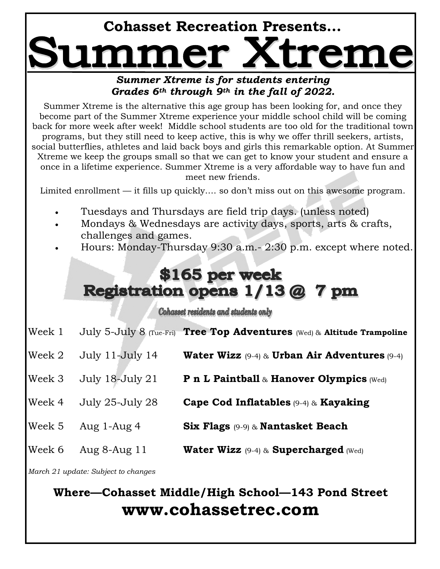## **Cohasset Recreation Presents...**

## *Summer Xtreme is for students entering Grades 6th through 9th in the fall of 2022.*

Summer Xtreme is the alternative this age group has been looking for, and once they become part of the Summer Xtreme experience your middle school child will be coming back for more week after week! Middle school students are too old for the traditional town programs, but they still need to keep active, this is why we offer thrill seekers, artists, social butterflies, athletes and laid back boys and girls this remarkable option. At Summer Xtreme we keep the groups small so that we can get to know your student and ensure a once in a lifetime experience. Summer Xtreme is a very affordable way to have fun and meet new friends.

Limited enrollment — it fills up quickly…. so don't miss out on this awesome program.

- Tuesdays and Thursdays are field trip days. (unless noted)
- Mondays & Wednesdays are activity days, sports, arts & crafts, challenges and games.
- Hours: Monday-Thursday 9:30 a.m.- 2:30 p.m. except where noted.

## \$165 per week **Registration opens 1/13 @ 7 pm**

Cohasset residents and students only

- Week 1 July 5-July 8 (Tue-Fri) **Tree Top Adventures** (Wed) & **Altitude Trampoline**
- Week 2 July 11-July 14 **Water Wizz** (9-4) & **Urban Air Adventures** (9-4)
- Week 3 July 18-July 21 **P n L Paintball** & **Hanover Olympics** (Wed)
- Week 4 July 25-July 28 **Cape Cod Inflatables** (9-4) & **Kayaking**
- Week 5 Aug 1-Aug 4 **Six Flags** (9-9) & **Nantasket Beach**
- Week 6 Aug 8-Aug 11 **Water Wizz** (9-4) & **Supercharged** (Wed)

*March 21 update: Subject to changes*

## **Where—Cohasset Middle/High School—143 Pond Street www.cohassetrec.com**